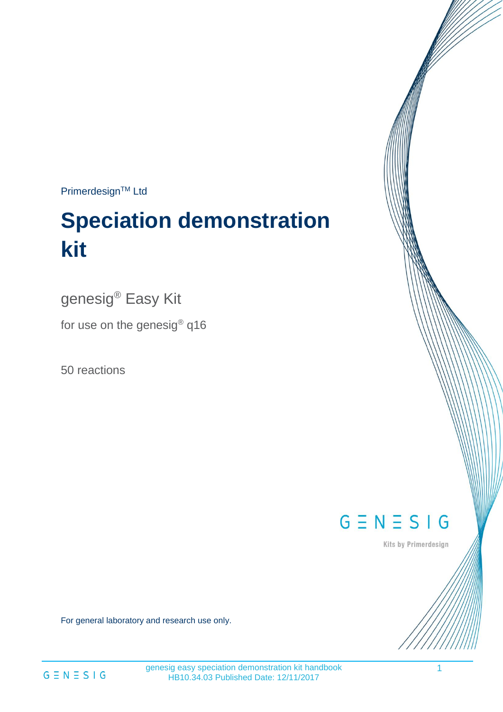Primerdesign™ Ltd

# **Speciation demonstration kit**

genesig® Easy Kit

for use on the genesig® q16

50 reactions

 $G \equiv N \equiv S \mid G$ 

Kits by Primerdesign

For general laboratory and research use only.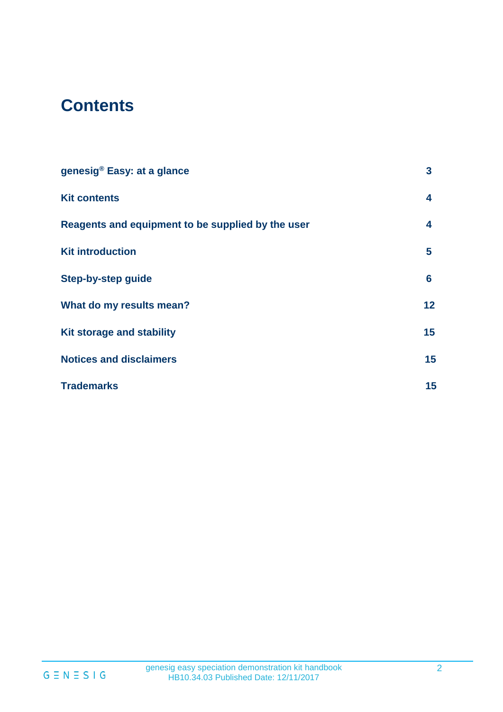# **Contents**

| genesig® Easy: at a glance                        | 3  |
|---------------------------------------------------|----|
| <b>Kit contents</b>                               | 4  |
| Reagents and equipment to be supplied by the user | 4  |
| <b>Kit introduction</b>                           | 5  |
| <b>Step-by-step guide</b>                         | 6  |
| What do my results mean?                          | 12 |
| Kit storage and stability                         | 15 |
| <b>Notices and disclaimers</b>                    | 15 |
| <b>Trademarks</b>                                 | 15 |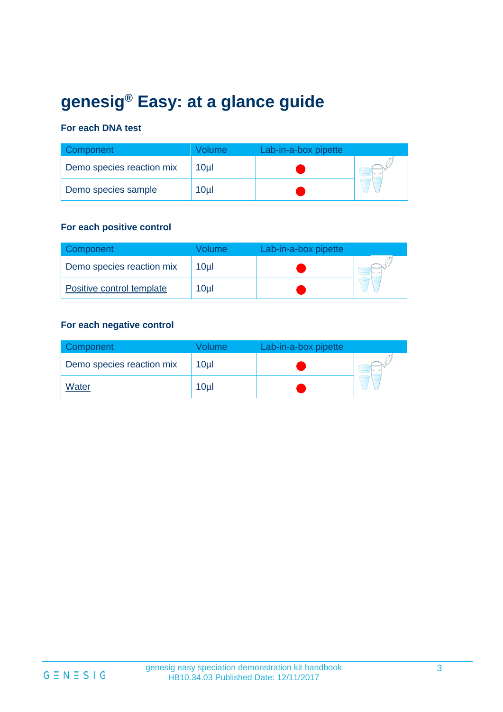# **genesig® Easy: at a glance guide**

#### **For each DNA test**

| Component                 | olume/          | Lab-in-a-box pipette |  |
|---------------------------|-----------------|----------------------|--|
| Demo species reaction mix | 10ul            |                      |  |
| Demo species sample       | 10 <sub>µ</sub> |                      |  |

#### **For each positive control**

| Component                 | /olume          | Lab-in-a-box pipette |  |
|---------------------------|-----------------|----------------------|--|
| Demo species reaction mix | 10µl            |                      |  |
| Positive control template | 10 <sub>µ</sub> |                      |  |

#### **For each negative control**

| Component <sup>1</sup>    | Volume          | Lab-in-a-box pipette |  |
|---------------------------|-----------------|----------------------|--|
| Demo species reaction mix | 10 <sub>µ</sub> |                      |  |
| Water                     | 10 <sub>µ</sub> |                      |  |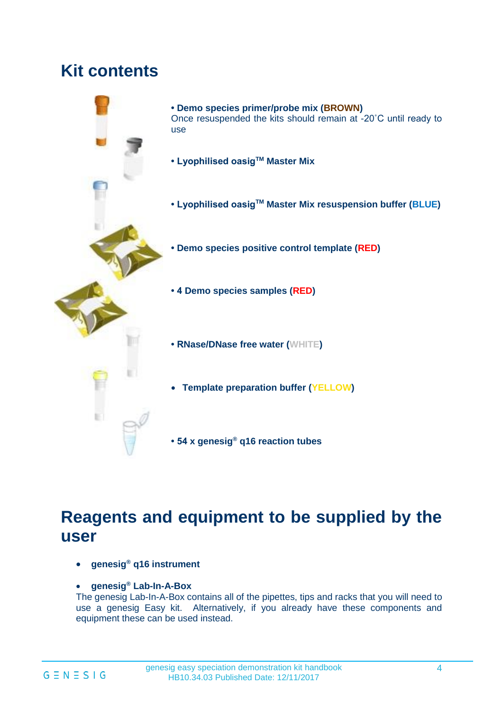# **Kit contents**



# **Reagents and equipment to be supplied by the user**

- **genesig® q16 instrument**
- **genesig® Lab-In-A-Box**

The genesig Lab-In-A-Box contains all of the pipettes, tips and racks that you will need to use a genesig Easy kit. Alternatively, if you already have these components and equipment these can be used instead.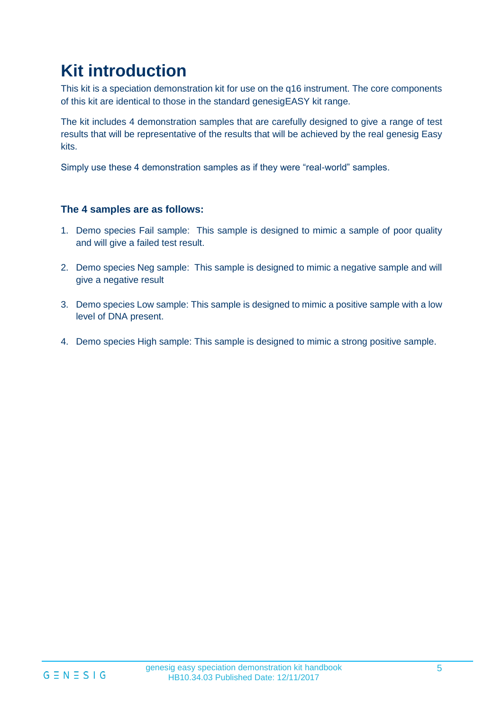# **Kit introduction**

This kit is a speciation demonstration kit for use on the q16 instrument. The core components of this kit are identical to those in the standard genesigEASY kit range.

The kit includes 4 demonstration samples that are carefully designed to give a range of test results that will be representative of the results that will be achieved by the real genesig Easy kits.

Simply use these 4 demonstration samples as if they were "real-world" samples.

#### **The 4 samples are as follows:**

- 1. Demo species Fail sample: This sample is designed to mimic a sample of poor quality and will give a failed test result.
- 2. Demo species Neg sample: This sample is designed to mimic a negative sample and will give a negative result
- 3. Demo species Low sample: This sample is designed to mimic a positive sample with a low level of DNA present.
- 4. Demo species High sample: This sample is designed to mimic a strong positive sample.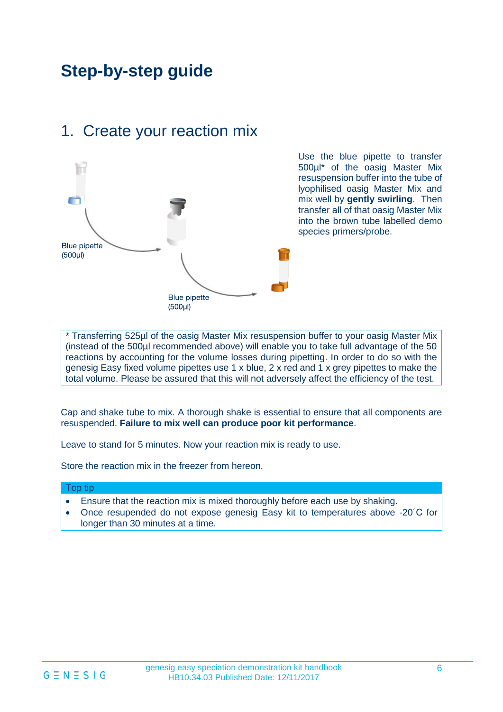# **Step-by-step guide**



### 1. Create your reaction mix

Use the blue pipette to transfer 500µl\* of the oasig Master Mix resuspension buffer into the tube of lyophilised oasig Master Mix and mix well by **gently swirling**. Then transfer all of that oasig Master Mix into the brown tube labelled demo species primers/probe.

\* Transferring 525µl of the oasig Master Mix resuspension buffer to your oasig Master Mix (instead of the 500µl recommended above) will enable you to take full advantage of the 50 reactions by accounting for the volume losses during pipetting. In order to do so with the genesig Easy fixed volume pipettes use 1 x blue, 2 x red and 1 x grey pipettes to make the total volume. Please be assured that this will not adversely affect the efficiency of the test.

Cap and shake tube to mix. A thorough shake is essential to ensure that all components are resuspended. **Failure to mix well can produce poor kit performance**.

Leave to stand for 5 minutes. Now your reaction mix is ready to use.

Store the reaction mix in the freezer from hereon.

#### Top tip

- Ensure that the reaction mix is mixed thoroughly before each use by shaking.
- Once resupended do not expose genesig Easy kit to temperatures above -20˚C for longer than 30 minutes at a time.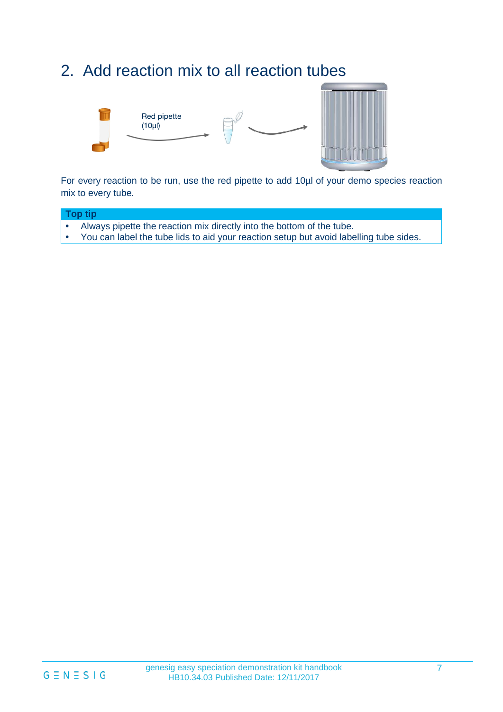### 2. Add reaction mix to all reaction tubes



For every reaction to be run, use the red pipette to add 10µl of your demo species reaction mix to every tube.



• You can label the tube lids to aid your reaction setup but avoid labelling tube sides.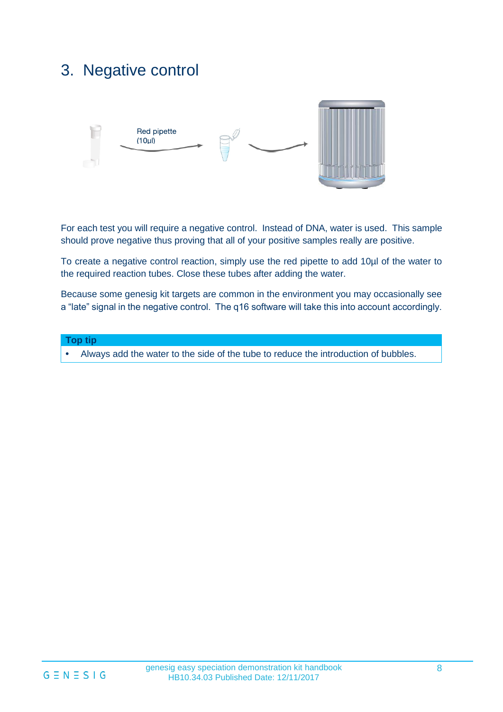# 3. Negative control



For each test you will require a negative control. Instead of DNA, water is used. This sample should prove negative thus proving that all of your positive samples really are positive.

To create a negative control reaction, simply use the red pipette to add 10µl of the water to the required reaction tubes. Close these tubes after adding the water.

Because some genesig kit targets are common in the environment you may occasionally see a "late" signal in the negative control. The q16 software will take this into account accordingly.

#### **Top tip**

**•** Always add the water to the side of the tube to reduce the introduction of bubbles.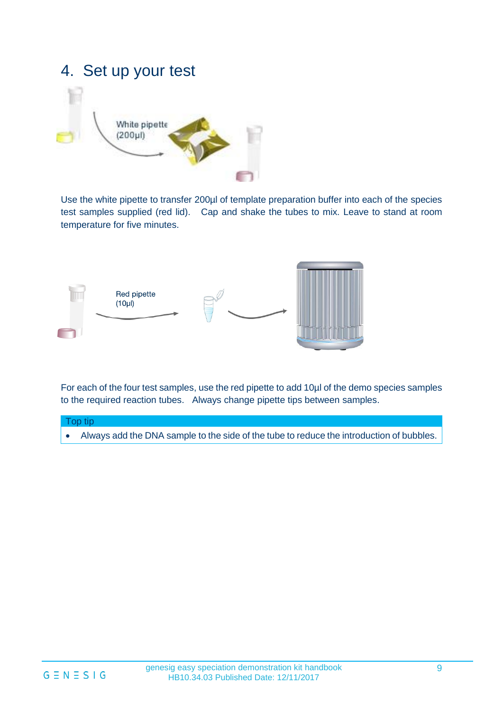### 4. Set up your test



Use the white pipette to transfer 200µl of template preparation buffer into each of the species test samples supplied (red lid). Cap and shake the tubes to mix. Leave to stand at room temperature for five minutes.



For each of the four test samples, use the red pipette to add 10µl of the demo species samples to the required reaction tubes. Always change pipette tips between samples.

#### Top tip

• Always add the DNA sample to the side of the tube to reduce the introduction of bubbles.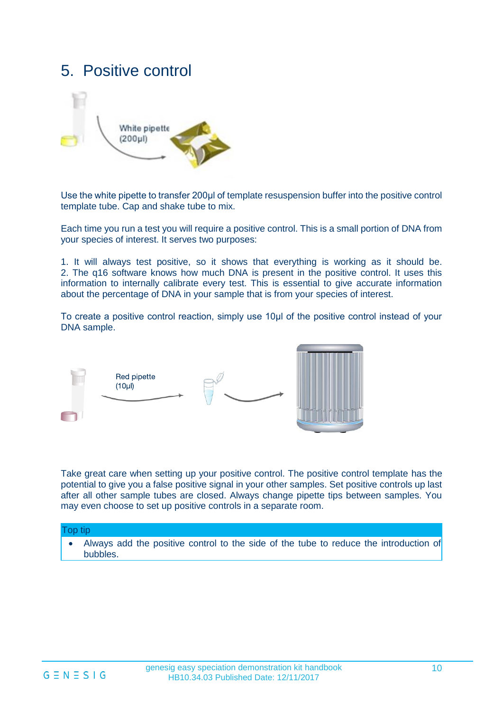### 5. Positive control



Use the white pipette to transfer 200μl of template resuspension buffer into the positive control template tube. Cap and shake tube to mix.

Each time you run a test you will require a positive control. This is a small portion of DNA from your species of interest. It serves two purposes:

1. It will always test positive, so it shows that everything is working as it should be. 2. The q16 software knows how much DNA is present in the positive control. It uses this information to internally calibrate every test. This is essential to give accurate information about the percentage of DNA in your sample that is from your species of interest.

To create a positive control reaction, simply use 10μl of the positive control instead of your DNA sample.



Take great care when setting up your positive control. The positive control template has the potential to give you a false positive signal in your other samples. Set positive controls up last after all other sample tubes are closed. Always change pipette tips between samples. You may even choose to set up positive controls in a separate room.

#### Top tip

• Always add the positive control to the side of the tube to reduce the introduction of bubbles.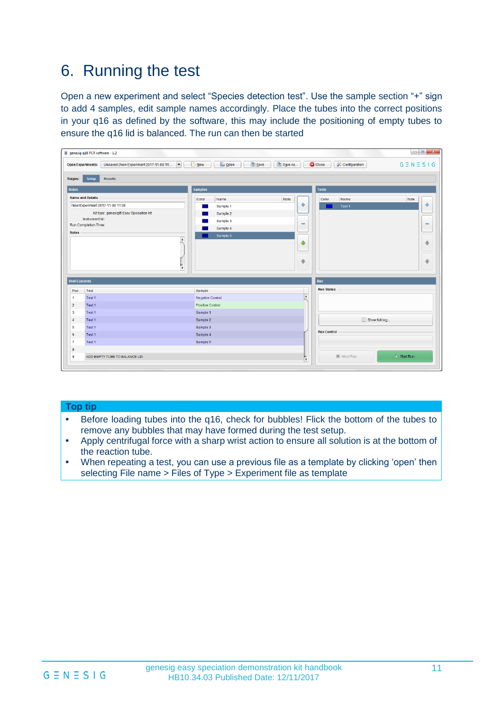## 6. Running the test

Open a new experiment and select "Species detection test". Use the sample section "+" sign to add 4 samples, edit sample names accordingly. Place the tubes into the correct positions in your q16 as defined by the software, this may include the positioning of empty tubes to ensure the q16 lid is balanced. The run can then be started

|                         | genesig q16 PCR software - 1.2                                       |                                   |                              |                                 | $\begin{array}{c c c c c c} \hline \multicolumn{3}{c }{\mathbf{0}} & \multicolumn{3}{c }{\mathbf{X}} \end{array}$ |
|-------------------------|----------------------------------------------------------------------|-----------------------------------|------------------------------|---------------------------------|-------------------------------------------------------------------------------------------------------------------|
|                         | Unsaved (New Experiment 2017-11-08 11:  <br><b>Open Experiments:</b> | R <sub>New</sub><br><b>C</b> Open | Save<br>Save As              | <b>C</b> Close<br>Configuration | $G \equiv N \equiv S \mid G$                                                                                      |
| Stages:                 | <b>Results</b><br>Setup                                              |                                   |                              |                                 |                                                                                                                   |
| <b>Notes</b>            |                                                                      | <b>Samples</b>                    |                              | <b>Tests</b>                    |                                                                                                                   |
|                         | <b>Name and Details</b>                                              | Color<br>Name                     | Note                         | Color<br>Name                   | Note                                                                                                              |
|                         | New Experiment 2017-11-08 11:09                                      | Sample 1                          | ⊕                            | Test 1                          | 유                                                                                                                 |
|                         | Kit type: genesig® Easy Speciation kit                               | Sample 2                          |                              |                                 |                                                                                                                   |
|                         | Instrument Id.:<br>Run Completion Time:                              | Sample 3                          | $\qquad \qquad \blacksquare$ |                                 | $\qquad \qquad \blacksquare$                                                                                      |
|                         |                                                                      | Sample 4                          |                              |                                 |                                                                                                                   |
| <b>Notes</b>            | $\blacktriangle$                                                     | Sample 5                          |                              |                                 |                                                                                                                   |
|                         |                                                                      |                                   | ♦                            |                                 | ♠                                                                                                                 |
|                         | $\boldsymbol{\mathrm{v}}$                                            |                                   | $\ddot{\phantom{1}}$         |                                 | $\ddot{\phantom{1}}$                                                                                              |
| <b>Well Contents</b>    |                                                                      |                                   |                              | Run                             |                                                                                                                   |
| Pos.                    | Test                                                                 | Sample                            |                              | <b>Run Status</b>               |                                                                                                                   |
| $\mathbf{1}$            | Test 1                                                               | <b>Negative Control</b>           | $\blacktriangle$             |                                 |                                                                                                                   |
| $\overline{2}$          | Test 1                                                               | <b>Positive Control</b>           |                              |                                 |                                                                                                                   |
| $\overline{\mathbf{3}}$ | Test 1                                                               | Sample 1                          |                              |                                 |                                                                                                                   |
| $\overline{4}$          | Test 1                                                               | Sample 2                          |                              | Show full log                   |                                                                                                                   |
| 5                       | Test 1                                                               | Sample 3                          |                              |                                 |                                                                                                                   |
| 6                       | Test 1                                                               | Sample 4                          |                              | <b>Run Control</b>              |                                                                                                                   |
| $\overline{7}$          | Test 1                                                               | Sample 5                          |                              |                                 |                                                                                                                   |
| 8                       |                                                                      |                                   |                              |                                 |                                                                                                                   |

#### **Top tip**

- **•** Before loading tubes into the q16, check for bubbles! Flick the bottom of the tubes to remove any bubbles that may have formed during the test setup.
- **•** Apply centrifugal force with a sharp wrist action to ensure all solution is at the bottom of the reaction tube.
- **•** When repeating a test, you can use a previous file as a template by clicking 'open' then selecting File name > Files of Type > Experiment file as template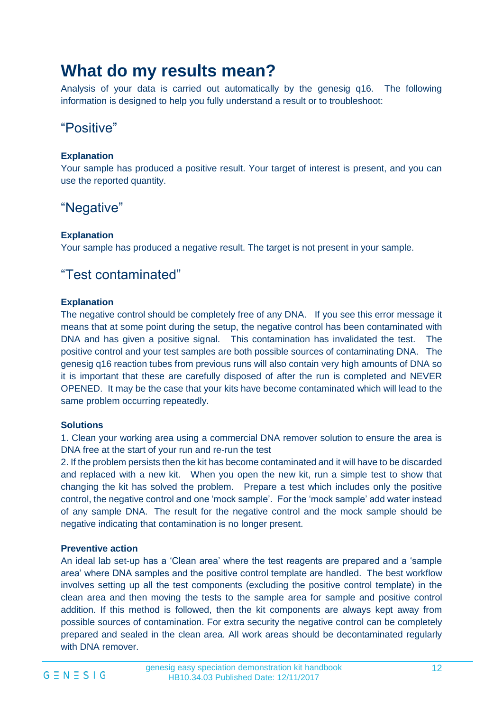# **What do my results mean?**

Analysis of your data is carried out automatically by the genesig q16. The following information is designed to help you fully understand a result or to troubleshoot:

### "Positive"

#### **Explanation**

Your sample has produced a positive result. Your target of interest is present, and you can use the reported quantity.

### "Negative"

#### **Explanation**

Your sample has produced a negative result. The target is not present in your sample.

### "Test contaminated"

#### **Explanation**

The negative control should be completely free of any DNA. If you see this error message it means that at some point during the setup, the negative control has been contaminated with DNA and has given a positive signal. This contamination has invalidated the test. The positive control and your test samples are both possible sources of contaminating DNA. The genesig q16 reaction tubes from previous runs will also contain very high amounts of DNA so it is important that these are carefully disposed of after the run is completed and NEVER OPENED. It may be the case that your kits have become contaminated which will lead to the same problem occurring repeatedly.

#### **Solutions**

1. Clean your working area using a commercial DNA remover solution to ensure the area is DNA free at the start of your run and re-run the test

2. If the problem persists then the kit has become contaminated and it will have to be discarded and replaced with a new kit. When you open the new kit, run a simple test to show that changing the kit has solved the problem. Prepare a test which includes only the positive control, the negative control and one 'mock sample'. For the 'mock sample' add water instead of any sample DNA. The result for the negative control and the mock sample should be negative indicating that contamination is no longer present.

#### **Preventive action**

An ideal lab set-up has a 'Clean area' where the test reagents are prepared and a 'sample area' where DNA samples and the positive control template are handled. The best workflow involves setting up all the test components (excluding the positive control template) in the clean area and then moving the tests to the sample area for sample and positive control addition. If this method is followed, then the kit components are always kept away from possible sources of contamination. For extra security the negative control can be completely prepared and sealed in the clean area. All work areas should be decontaminated regularly with DNA remover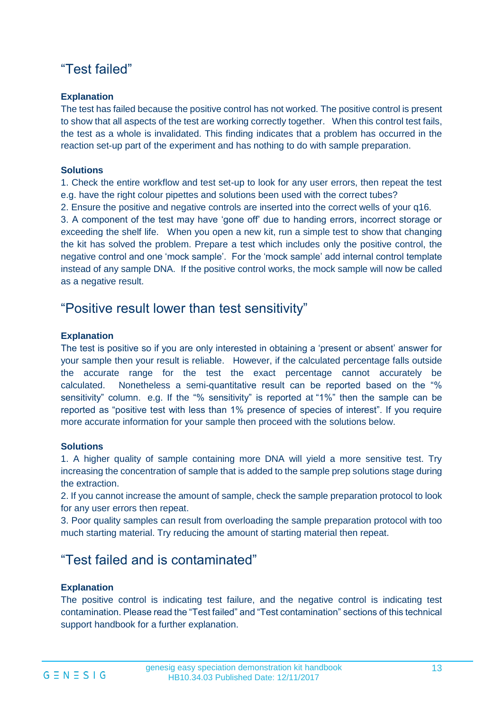### "Test failed"

#### **Explanation**

The test has failed because the positive control has not worked. The positive control is present to show that all aspects of the test are working correctly together. When this control test fails, the test as a whole is invalidated. This finding indicates that a problem has occurred in the reaction set-up part of the experiment and has nothing to do with sample preparation.

#### **Solutions**

1. Check the entire workflow and test set-up to look for any user errors, then repeat the test e.g. have the right colour pipettes and solutions been used with the correct tubes?

2. Ensure the positive and negative controls are inserted into the correct wells of your q16.

3. A component of the test may have 'gone off' due to handing errors, incorrect storage or exceeding the shelf life. When you open a new kit, run a simple test to show that changing the kit has solved the problem. Prepare a test which includes only the positive control, the negative control and one 'mock sample'. For the 'mock sample' add internal control template instead of any sample DNA. If the positive control works, the mock sample will now be called as a negative result.

### "Positive result lower than test sensitivity"

#### **Explanation**

The test is positive so if you are only interested in obtaining a 'present or absent' answer for your sample then your result is reliable. However, if the calculated percentage falls outside the accurate range for the test the exact percentage cannot accurately be calculated. Nonetheless a semi-quantitative result can be reported based on the "% sensitivity" column. e.g. If the "% sensitivity" is reported at "1%" then the sample can be reported as "positive test with less than 1% presence of species of interest". If you require more accurate information for your sample then proceed with the solutions below.

#### **Solutions**

1. A higher quality of sample containing more DNA will yield a more sensitive test. Try increasing the concentration of sample that is added to the sample prep solutions stage during the extraction.

2. If you cannot increase the amount of sample, check the sample preparation protocol to look for any user errors then repeat.

3. Poor quality samples can result from overloading the sample preparation protocol with too much starting material. Try reducing the amount of starting material then repeat.

### "Test failed and is contaminated"

#### **Explanation**

The positive control is indicating test failure, and the negative control is indicating test contamination. Please read the "Test failed" and "Test contamination" sections of this technical support handbook for a further explanation.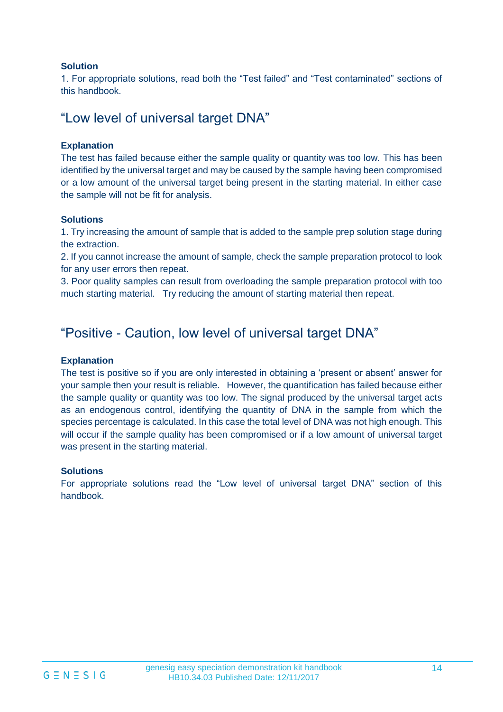#### **Solution**

1. For appropriate solutions, read both the "Test failed" and "Test contaminated" sections of this handbook.

### "Low level of universal target DNA"

#### **Explanation**

The test has failed because either the sample quality or quantity was too low. This has been identified by the universal target and may be caused by the sample having been compromised or a low amount of the universal target being present in the starting material. In either case the sample will not be fit for analysis.

#### **Solutions**

1. Try increasing the amount of sample that is added to the sample prep solution stage during the extraction.

2. If you cannot increase the amount of sample, check the sample preparation protocol to look for any user errors then repeat.

3. Poor quality samples can result from overloading the sample preparation protocol with too much starting material. Try reducing the amount of starting material then repeat.

### "Positive - Caution, low level of universal target DNA"

#### **Explanation**

The test is positive so if you are only interested in obtaining a 'present or absent' answer for your sample then your result is reliable. However, the quantification has failed because either the sample quality or quantity was too low. The signal produced by the universal target acts as an endogenous control, identifying the quantity of DNA in the sample from which the species percentage is calculated. In this case the total level of DNA was not high enough. This will occur if the sample quality has been compromised or if a low amount of universal target was present in the starting material.

#### **Solutions**

For appropriate solutions read the "Low level of universal target DNA" section of this handbook.